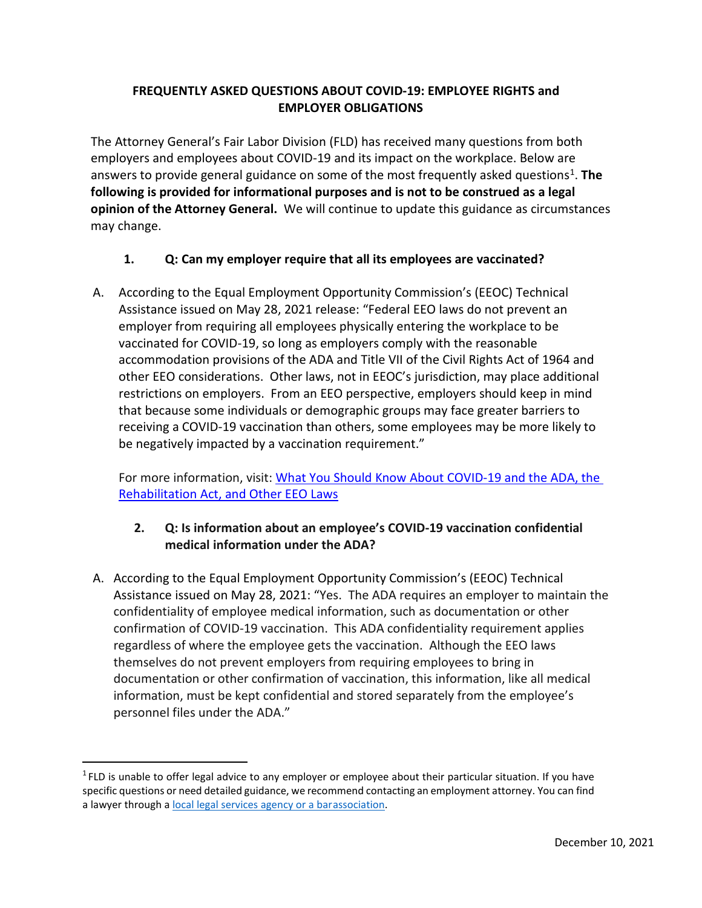### **FREQUENTLY ASKED QUESTIONS ABOUT COVID-19: EMPLOYEE RIGHTS and EMPLOYER OBLIGATIONS**

The Attorney General's Fair Labor Division (FLD) has received many questions from both employers and employees about COVID-19 and its impact on the workplace. Below are answers to provide general guidance on some of the most frequently asked questions<sup>[1](#page-0-0)</sup>. The **following is provided for informational purposes and is not to be construed as a legal opinion of the Attorney General.** We will continue to update this guidance as circumstances may change.

#### **1. Q: Can my employer require that all its employees are vaccinated?**

A. According to the Equal Employment Opportunity Commission's (EEOC) Technical Assistance issued on May 28, 2021 release: "Federal EEO laws do not prevent an employer from requiring all employees physically entering the workplace to be vaccinated for COVID-19, so long as employers comply with the reasonable accommodation provisions of the ADA and Title VII of the Civil Rights Act of 1964 and other EEO considerations. Other laws, not in EEOC's jurisdiction, may place additional restrictions on employers. From an EEO perspective, employers should keep in mind that because some individuals or demographic groups may face greater barriers to receiving a COVID-19 vaccination than others, some employees may be more likely to be negatively impacted by a vaccination requirement."

For more information, visit: [What You Should Know About COVID-19 and the ADA, the](https://www.eeoc.gov/wysk/what-you-should-know-about-covid-19-and-ada-rehabilitation-act-and-other-eeo-laws) [Rehabilitation Act, and Other EEO Laws](https://www.eeoc.gov/wysk/what-you-should-know-about-covid-19-and-ada-rehabilitation-act-and-other-eeo-laws)

# **2. Q: Is information about an employee's COVID-19 vaccination confidential medical information under the ADA?**

A. According to the Equal Employment Opportunity Commission's (EEOC) Technical Assistance issued on May 28, 2021: "Yes. The ADA requires an employer to maintain the confidentiality of employee medical information, such as documentation or other confirmation of COVID-19 vaccination. This ADA confidentiality requirement applies regardless of where the employee gets the vaccination. Although the EEO laws themselves do not prevent employers from requiring employees to bring in documentation or other confirmation of vaccination, this information, like all medical information, must be kept confidential and stored separately from the employee's personnel files under the ADA."

<span id="page-0-0"></span> $1$  FLD is unable to offer legal advice to any employer or employee about their particular situation. If you have specific questions or need detailed guidance, we recommend contacting an employment attorney. You can find a lawyer through [a local legal services agency or a barassociation.](https://www.mass.gov/service-details/finding-legal-help)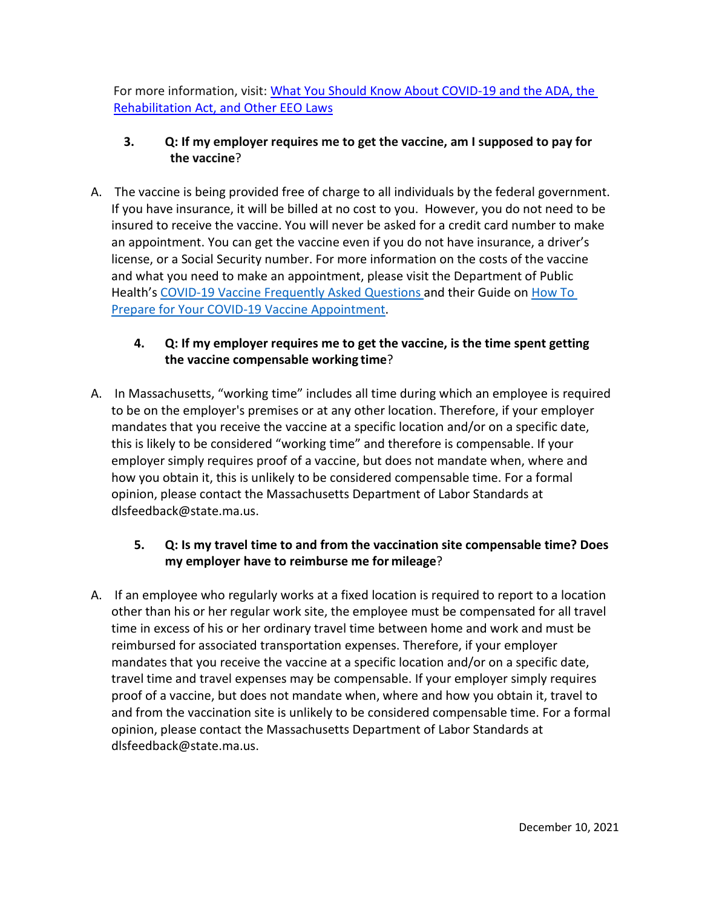For more information, visit: [What You Should Know About COVID-19 and the ADA, the](https://www.eeoc.gov/wysk/what-you-should-know-about-covid-19-and-ada-rehabilitation-act-and-other-eeo-laws)  [Rehabilitation Act, and Other EEO Laws](https://www.eeoc.gov/wysk/what-you-should-know-about-covid-19-and-ada-rehabilitation-act-and-other-eeo-laws)

# **3. Q: If my employer requires me to get the vaccine, am I supposed to pay for the vaccine**?

A. The vaccine is being provided free of charge to all individuals by the federal government. If you have insurance, it will be billed at no cost to you. However, you do not need to be insured to receive the vaccine. You will never be asked for a credit card number to make an appointment. You can get the vaccine even if you do not have insurance, a driver's license, or a Social Security number. For more information on the costs of the vaccine and what you need to make an appointment, please visit the Department of Public Health's [COVID-19 Vaccine](https://www.mass.gov/info-details/covid-19-vaccine-frequently-asked-questions) [Frequently Asked Questions a](https://www.mass.gov/info-details/covid-19-vaccine-frequently-asked-questions)nd their Guide on [How To](https://www.mass.gov/guides/how-to-prepare-for-your-covid-19-vaccine-appointment)  [Prepare for Your COVID-19 Vaccine](https://www.mass.gov/guides/how-to-prepare-for-your-covid-19-vaccine-appointment) [Appointment.](https://www.mass.gov/guides/how-to-prepare-for-your-covid-19-vaccine-appointment)

# **4. Q: If my employer requires me to get the vaccine, is the time spent getting the vaccine compensable working time**?

A. In Massachusetts, "working time" includes all time during which an employee is required to be on the employer's premises or at any other location. Therefore, if your employer mandates that you receive the vaccine at a specific location and/or on a specific date, this is likely to be considered "working time" and therefore is compensable. If your employer simply requires proof of a vaccine, but does not mandate when, where and how you obtain it, this is unlikely to be considered compensable time. For a formal opinion, please contact the Massachusetts Department of Labor Standards at [dlsfeedback@state.ma.us.](mailto:dlsfeedback@state.ma.us)

# **5. Q: Is my travel time to and from the vaccination site compensable time? Does my employer have to reimburse me for mileage**?

A. If an employee who regularly works at a fixed location is required to report to a location other than his or her regular work site, the employee must be compensated for all travel time in excess of his or her ordinary travel time between home and work and must be reimbursed for associated transportation expenses. Therefore, if your employer mandates that you receive the vaccine at a specific location and/or on a specific date, travel time and travel expenses may be compensable. If your employer simply requires proof of a vaccine, but does not mandate when, where and how you obtain it, travel to and from the vaccination site is unlikely to be considered compensable time. For a formal opinion, please contact the Massachusetts Department of Labor Standards at [dlsfeedback@state.ma.us.](mailto:dlsfeedback@state.ma.us)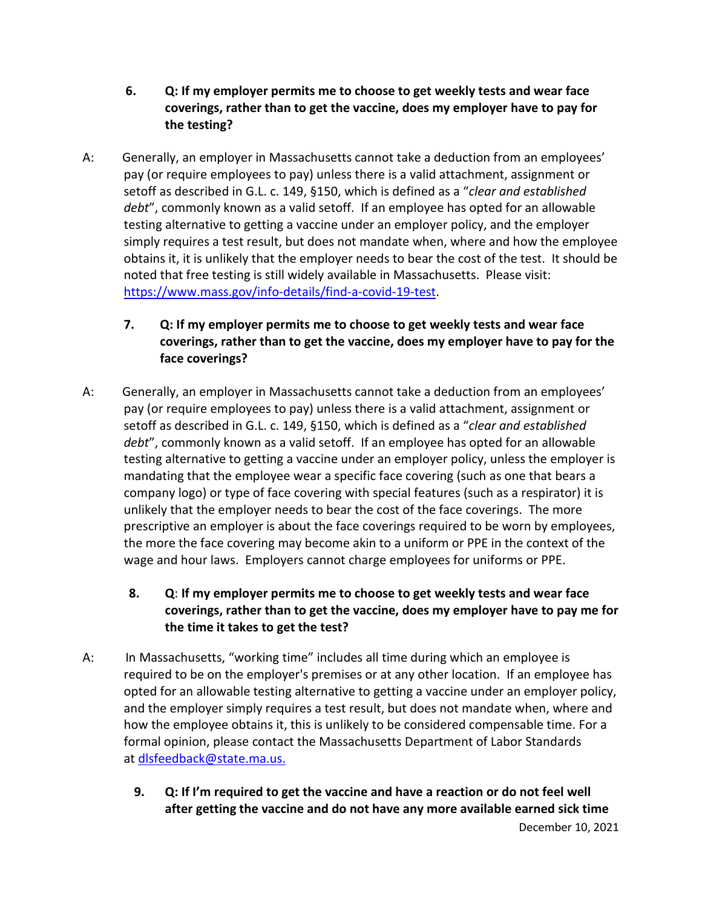- **6. Q: If my employer permits me to choose to get weekly tests and wear face coverings, rather than to get the vaccine, does my employer have to pay for the testing?**
- A: Generally, an employer in Massachusetts cannot take a deduction from an employees' pay (or require employees to pay) unless there is a valid attachment, assignment or setoff as described in G.L. c. 149, §150, which is defined as a "*clear and established debt*", commonly known as a valid setoff. If an employee has opted for an allowable testing alternative to getting a vaccine under an employer policy, and the employer simply requires a test result, but does not mandate when, where and how the employee obtains it, it is unlikely that the employer needs to bear the cost of the test. It should be noted that free testing is still widely available in Massachusetts. Please visit: [https://www.mass.gov/info-details/find-a-covid-19-test.](https://www.mass.gov/info-details/find-a-covid-19-test)
	- **7. Q: If my employer permits me to choose to get weekly tests and wear face coverings, rather than to get the vaccine, does my employer have to pay for the face coverings?**
- A: Generally, an employer in Massachusetts cannot take a deduction from an employees' pay (or require employees to pay) unless there is a valid attachment, assignment or setoff as described in G.L. c. 149, §150, which is defined as a "*clear and established debt*", commonly known as a valid setoff. If an employee has opted for an allowable testing alternative to getting a vaccine under an employer policy, unless the employer is mandating that the employee wear a specific face covering (such as one that bears a company logo) or type of face covering with special features (such as a respirator) it is unlikely that the employer needs to bear the cost of the face coverings. The more prescriptive an employer is about the face coverings required to be worn by employees, the more the face covering may become akin to a uniform or PPE in the context of the wage and hour laws. Employers cannot charge employees for uniforms or PPE.
	- **8. Q**: **If my employer permits me to choose to get weekly tests and wear face coverings, rather than to get the vaccine, does my employer have to pay me for the time it takes to get the test?**
- A: In Massachusetts, "working time" includes all time during which an employee is required to be on the employer's premises or at any other location. If an employee has opted for an allowable testing alternative to getting a vaccine under an employer policy, and the employer simply requires a test result, but does not mandate when, where and how the employee obtains it, this is unlikely to be considered compensable time. For a formal opinion, please contact the Massachusetts Department of Labor Standards at [dlsfeedback@state.ma.us.](mailto:dlsfeedback@state.ma.us)
	- **9. Q: If I'm required to get the vaccine and have a reaction or do not feel well after getting the vaccine and do not have any more available earned sick time**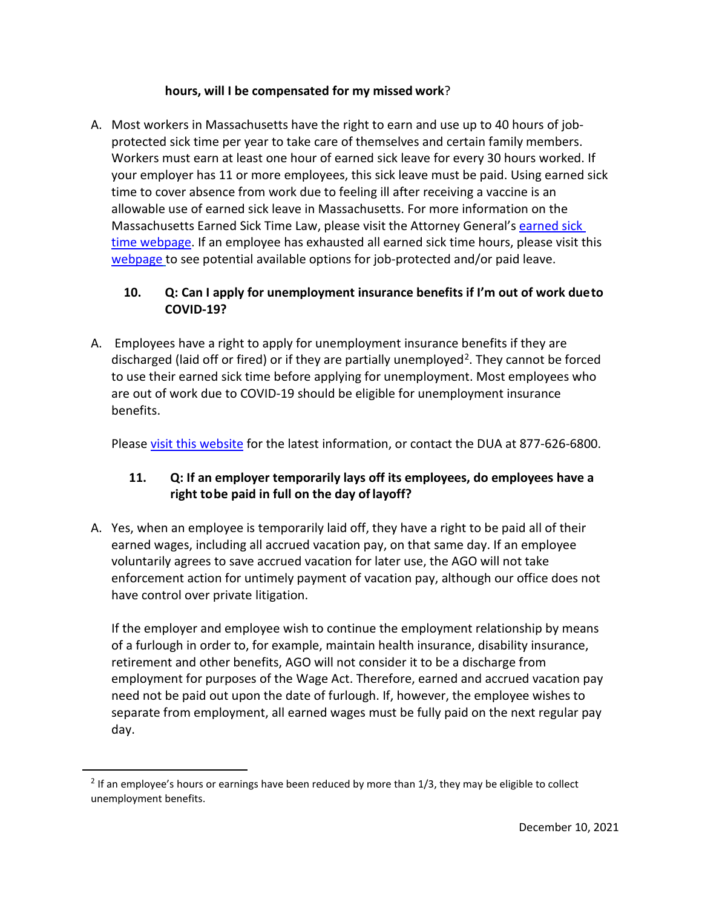#### **hours, will I be compensated for my missed work**?

A. Most workers in Massachusetts have the right to earn and use up to 40 hours of jobprotected sick time per year to take care of themselves and certain family members. Workers mu[st earn at le](https://www.mass.gov/info-details/massachusetts-law-about-employment-termination)ast one hour of earned sick leave for every 30 hours worked. If your employer has [11 or more employees, this sick leave](https://www.mass.gov/how-to/file-a-civil-rights-complaint) must be paid. Using earned sick time to cover absence from work due to feeling ill after receiving a vaccine is an allowable use of earned sick leave in Massachusetts. For more information on the Massachusetts Earned Sick Time Law, please visit the Attorney General's [earned sick](https://www.mass.gov/info-details/earned-sick-time)  [time webpage.](https://www.mass.gov/info-details/earned-sick-time) If an employee has exhausted all earned sick time hours, please visit this [webpage](https://www.mass.gov/service-details/rights-for-quarantined-essential-workers) to see potential available options for job-protected and/or paid leave.

### **10. Q: Can I apply for unemployment insurance benefits if I'm out of work dueto COVID-19?**

A. Employees have a right to apply for unemployment insurance benefits if they are discharged (laid off or fired) or if they are partially unemployed<sup>[2](#page-3-0)</sup>. They cannot be forced to use their earned sick time before applying for unemployment. Most employees who are out of work due to COVID-19 should be eligible for unemployment insurance benefits.

Please [visit this website](https://www.mass.gov/lists/unemployment-and-covid-19) for the latest information, or contact the DUA at 877-626-6800.

# **11. Q: If an employer temporarily lays off its employees, do employees have a right tobe paid in full on the day of layoff?**

A. Yes, when an employee is temporarily laid off, they have a right to be paid all of their earned wages, including all accrued vacation pay, on that same day. If an employee voluntarily agrees to save accrued vacation for later use, the AGO will not take enforcement action for untimely payment of vacation pay, although our office does not have control over private litigation.

If the employer and employee wish to continue the employment relationship by means of a furlough in order to, for example, maintain health insurance, disability insurance, retirement and other benefits, AGO will not consider it to be a discharge from employment for purposes of the Wage Act. Therefore, earned and accrued vacation pay need not be paid out upon the date of furlough. If, however, the employee wishes to separate from employment, all earned wages must be fully paid on the next regular pay day.

<span id="page-3-0"></span> $<sup>2</sup>$  If an employee's hours or earnings have been reduced by more than 1/3, they may be eligible to collect</sup> unemployment benefits.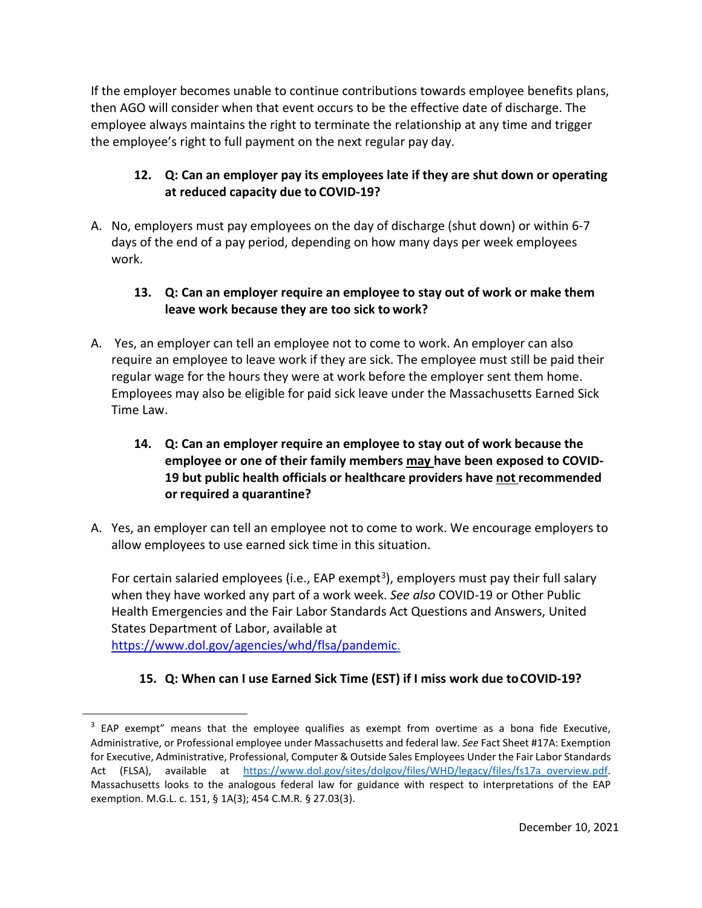If the employer becomes unable to continue contributions towards employee benefits plans, then AGO will consider when that event occurs to be the effective date of discharge. The employee always maintains the right to terminate the relationship at any time and trigger the employee's right to full payment on the next regular pay day.

# **12. Q: Can an employer pay its employees late if they are shut down or operating at reduced capacity due to COVID-19?**

A. No, employers must pay employees on the day of discharge (shut down) or within 6-7 days of the end of a pay period, depending on how many days per week employees work.

### **13. Q: Can an employer require an employee to stay out of work or make them leave work because they are too sick to work?**

A. Yes, an employer can tell an employee not to come to work. An employer can also require an employee to leave work if they are sick. The employee must still be paid their regular wage for the hours they were at work before the employer sent them home. Employees may also be eligible for paid sick leave under the Massachusetts Earned Sick Time Law.

# **14. Q: Can an employer require an employee to stay out of work because the employee or one of their family members may have been exposed to COVID-19 but public health officials or healthcare providers have not recommended or required a quarantine?**

A. Yes, an employer can tell an employee not to come to work. We encourage employers to allow employees to use earned sick time in this situation.

For certain salaried employees (i.e., EAP exempt<sup>3</sup>), employers must pay their full salary when they have worked any part of a work week. *See also* COVID-19 or Other Public Health Emergencies and the Fair Labor Standards Act Questions and Answers, United States Department of Labor, available at [https://www.dol.gov/agencies/whd/flsa/pandemic.](https://www.dol.gov/agencies/whd/flsa/pandemic)

**15. Q: When can I use Earned Sick Time (EST) if I miss work due toCOVID-19?**

<span id="page-4-0"></span><sup>&</sup>lt;sup>3</sup> EAP exempt" means that the employee qualifies as exempt from overtime as a bona fide Executive, Administrative, or Professional employee under Massachusetts and federal law. *See* Fact Sheet #17A: Exemption for Executive, Administrative, Professional, Computer & Outside Sales Employees Under the Fair Labor Standards Act (FLSA), available at [https://www.dol.gov/sites/dolgov/files/WHD/legacy/files/fs17a\\_overview.pdf.](https://www.dol.gov/sites/dolgov/files/WHD/legacy/files/fs17a_overview.pdf) Massachusetts looks to the analogous federal law for guidance with respect to interpretations of the EAP exemption. M.G.L. c. 151, § 1A(3); 454 C.M.R. § 27.03(3).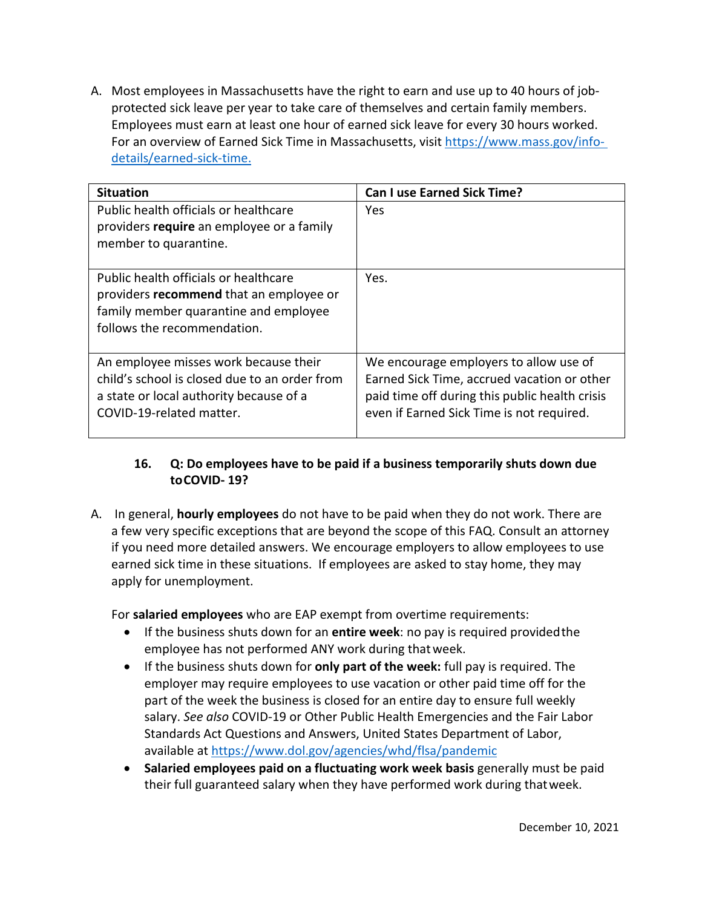A. Most employees in Massachusetts have the right to earn and use up to 40 hours of jobprotected sick leave per year to take care of themselves and certain family members. Employees must earn at least one hour of earned sick leave for every 30 hours worked. For an overview of Earned Sick Time in Massachusetts, visit [https://www.mass.gov/info](https://www.mass.gov/info-details/earned-sick-time)[details/earned-sick-time.](https://www.mass.gov/info-details/earned-sick-time)

| <b>Situation</b>                                                                                                                                              | <b>Can I use Earned Sick Time?</b>                                                                                                                                                   |
|---------------------------------------------------------------------------------------------------------------------------------------------------------------|--------------------------------------------------------------------------------------------------------------------------------------------------------------------------------------|
| Public health officials or healthcare<br>providers require an employee or a family<br>member to quarantine.                                                   | Yes                                                                                                                                                                                  |
| Public health officials or healthcare<br>providers recommend that an employee or<br>family member quarantine and employee<br>follows the recommendation.      | Yes.                                                                                                                                                                                 |
| An employee misses work because their<br>child's school is closed due to an order from<br>a state or local authority because of a<br>COVID-19-related matter. | We encourage employers to allow use of<br>Earned Sick Time, accrued vacation or other<br>paid time off during this public health crisis<br>even if Earned Sick Time is not required. |

# **16. Q: Do employees have to be paid if a business temporarily shuts down due toCOVID- 19?**

A. In general, **hourly employees** do not have to be paid when they do not work. There are a few very specific exceptions that are beyond the scope of this FAQ. Consult an attorney if you need more detailed answers. We encourage employers to allow employees to use earned sick time in these situations. If employees are asked to stay home, they may apply for unemployment.

For **salaried employees** who are EAP exempt from overtime requirements:

- If the business shuts down for an **entire week**: no pay is required providedthe employee has not performed ANY work during thatweek.
- If the business shuts down for **only part of the week:** full pay is required. The employer may require employees to use vacation or other paid time off for the part of the week the business is closed for an entire day to ensure full weekly salary. *See also* COVID-19 or Other Public Health Emergencies and the Fair Labor Standards Act Questions and Answers, United States Department of Labor, available at<https://www.dol.gov/agencies/whd/flsa/pandemic>
- **Salaried employees paid on a fluctuating work week basis** generally must be paid their full guaranteed salary when they have performed work during thatweek.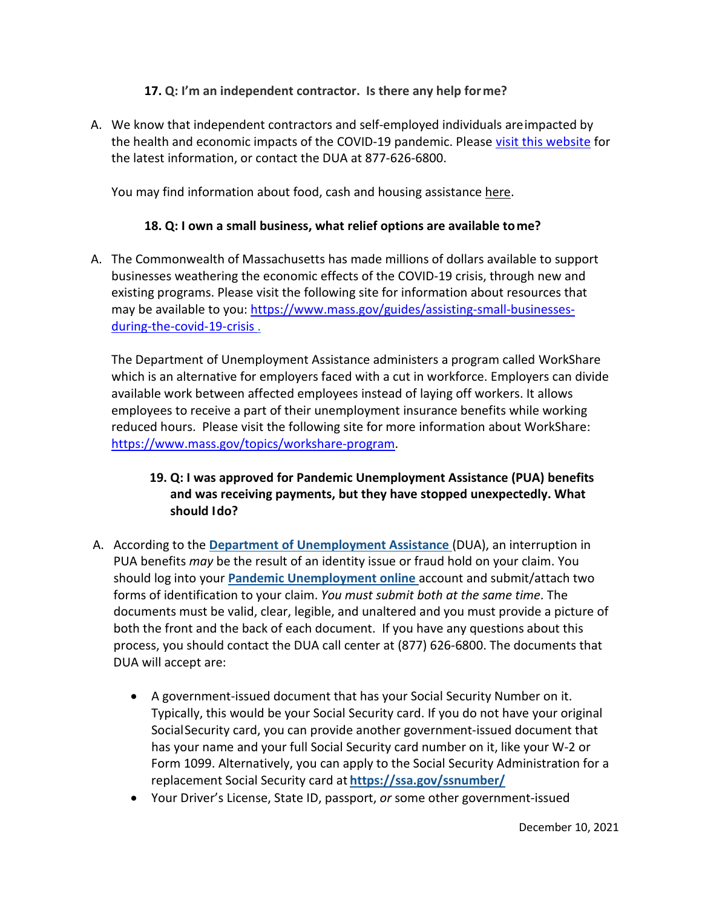### **17. Q: I'm an independent contractor. Is there any help forme?**

A. We know that independent contractors and self-employed individuals areimpacted by the health and economic impacts of the COVID-19 pandemic. Please [visit this website](https://www.mass.gov/info-details/cares-act-extension-and-changes-to-unemployment-benefit-programs) for the latest information, or contact the DUA at 877-626-6800.

You may find information about food, cash and housing assistance [here.](https://www.mass.gov/topics/health-social-services)

# **18. Q: I own a small business, what relief options are available tome?**

A. The Commonwealth of Massachusetts has made millions of dollars available to support businesses weathering the economic effects of the COVID-19 crisis, through new and existing programs. Please visit the following site for information about resources that may be available to you: [https://www.mass.gov/guides/assisting-small-businesses](https://www.mass.gov/guides/assisting-small-businesses-during-the-covid-19-crisis)[during-the-covid-19-crisis .](https://www.mass.gov/guides/assisting-small-businesses-during-the-covid-19-crisis)

The Department of Unemployment Assistance administers a program called WorkShare which is an alternative for employers faced with a cut in workforce. Employers can divide available work between affected employees instead of laying off workers. It allows employees to receive a part of their unemployment insurance benefits while working reduced hours. Please visit the following site for more information about WorkShare: [https://www.mass.gov/topics/workshare-program.](https://www.mass.gov/topics/workshare-program)

# **19. Q: I was approved for Pandemic Unemployment Assistance (PUA) benefits and was receiving payments, but they have stopped unexpectedly. What should Ido?**

- A. According to the **[Department of Unemployment Assistance](https://www.mass.gov/dua)** (DUA), an interruption in PUA benefits *may* be the result of an identity issue or fraud hold on your claim. You should log into your **[Pandemic Unemployment online](https://ui-cares-act.mass.gov/PUA/_/)** account and submit/attach two forms of identification to your claim. *You must submit both at the same time*. The documents must be valid, clear, legible, and unaltered and you must provide a picture of both the front and the back of each document. If you have any questions about this process, you should contact the DUA call center at (877) 626-6800. The documents that DUA will accept are:
	- A government-issued document that has your Social Security Number on it. Typically, this would be your Social Security card. If you do not have your original SocialSecurity card, you can provide another government-issued document that has your name and your full Social Security card number on it, like your W-2 or Form 1099. Alternatively, you can apply to the Social Security Administration for a replacement Social Security card at **<https://ssa.gov/ssnumber/>**
	- Your Driver's License, State ID, passport, *or* some other government-issued